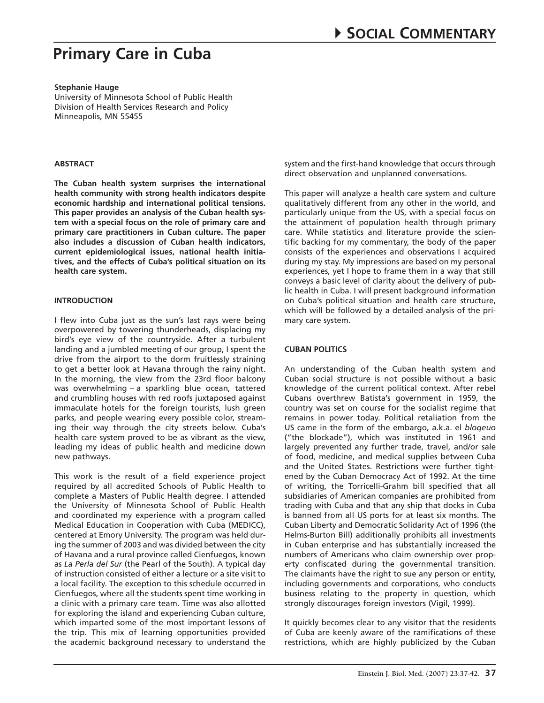#### **Stephanie Hauge**

University of Minnesota School of Public Health Division of Health Services Research and Policy Minneapolis, MN 55455

## **Abstract**

**The Cuban health system surprises the international health community with strong health indicators despite economic hardship and international political tensions. This paper provides an analysis of the Cuban health system with a special focus on the role of primary care and primary care practitioners in Cuban culture. The paper also includes a discussion of Cuban health indicators, current epidemiological issues, national health initiatives, and the effects of Cuba's political situation on its health care system.** 

## **Introduction**

I flew into Cuba just as the sun's last rays were being overpowered by towering thunderheads, displacing my bird's eye view of the countryside. After a turbulent landing and a jumbled meeting of our group, I spent the drive from the airport to the dorm fruitlessly straining to get a better look at Havana through the rainy night. In the morning, the view from the 23rd floor balcony was overwhelming – a sparkling blue ocean, tattered and crumbling houses with red roofs juxtaposed against immaculate hotels for the foreign tourists, lush green parks, and people wearing every possible color, streaming their way through the city streets below. Cuba's health care system proved to be as vibrant as the view, leading my ideas of public health and medicine down new pathways.

This work is the result of a field experience project required by all accredited Schools of Public Health to complete a Masters of Public Health degree. I attended the University of Minnesota School of Public Health and coordinated my experience with a program called Medical Education in Cooperation with Cuba (MEDICC), centered at Emory University. The program was held during the summer of 2003 and was divided between the city of Havana and a rural province called Cienfuegos, known as *La Perla del Sur* (the Pearl of the South). A typical day of instruction consisted of either a lecture or a site visit to a local facility. The exception to this schedule occurred in Cienfuegos, where all the students spent time working in a clinic with a primary care team. Time was also allotted for exploring the island and experiencing Cuban culture, which imparted some of the most important lessons of the trip. This mix of learning opportunities provided the academic background necessary to understand the system and the first-hand knowledge that occurs through direct observation and unplanned conversations.

This paper will analyze a health care system and culture qualitatively different from any other in the world, and particularly unique from the US, with a special focus on the attainment of population health through primary care. While statistics and literature provide the scientific backing for my commentary, the body of the paper consists of the experiences and observations I acquired during my stay. My impressions are based on my personal experiences, yet I hope to frame them in a way that still conveys a basic level of clarity about the delivery of public health in Cuba. I will present background information on Cuba's political situation and health care structure, which will be followed by a detailed analysis of the primary care system.

# **Cuban Politics**

An understanding of the Cuban health system and Cuban social structure is not possible without a basic knowledge of the current political context. After rebel Cubans overthrew Batista's government in 1959, the country was set on course for the socialist regime that remains in power today. Political retaliation from the US came in the form of the embargo, a.k.a. el *bloqeuo* ("the blockade"), which was instituted in 1961 and largely prevented any further trade, travel, and/or sale of food, medicine, and medical supplies between Cuba and the United States. Restrictions were further tightened by the Cuban Democracy Act of 1992. At the time of writing, the Torricelli-Grahm bill specified that all subsidiaries of American companies are prohibited from trading with Cuba and that any ship that docks in Cuba is banned from all US ports for at least six months. The Cuban Liberty and Democratic Solidarity Act of 1996 (the Helms-Burton Bill) additionally prohibits all investments in Cuban enterprise and has substantially increased the numbers of Americans who claim ownership over property confiscated during the governmental transition. The claimants have the right to sue any person or entity, including governments and corporations, who conducts business relating to the property in question, which strongly discourages foreign investors (Vigil, 1999).

It quickly becomes clear to any visitor that the residents of Cuba are keenly aware of the ramifications of these restrictions, which are highly publicized by the Cuban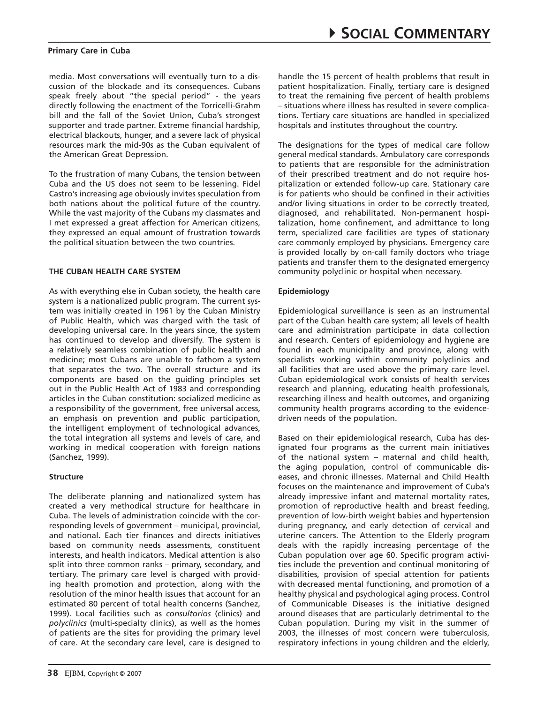media. Most conversations will eventually turn to a discussion of the blockade and its consequences. Cubans speak freely about "the special period" - the years directly following the enactment of the Torricelli-Grahm bill and the fall of the Soviet Union, Cuba's strongest supporter and trade partner. Extreme financial hardship, electrical blackouts, hunger, and a severe lack of physical resources mark the mid-90s as the Cuban equivalent of the American Great Depression.

To the frustration of many Cubans, the tension between Cuba and the US does not seem to be lessening. Fidel Castro's increasing age obviously invites speculation from both nations about the political future of the country. While the vast majority of the Cubans my classmates and I met expressed a great affection for American citizens, they expressed an equal amount of frustration towards the political situation between the two countries.

### **The Cuban Health Care System**

As with everything else in Cuban society, the health care system is a nationalized public program. The current system was initially created in 1961 by the Cuban Ministry of Public Health, which was charged with the task of developing universal care. In the years since, the system has continued to develop and diversify. The system is a relatively seamless combination of public health and medicine; most Cubans are unable to fathom a system that separates the two. The overall structure and its components are based on the guiding principles set out in the Public Health Act of 1983 and corresponding articles in the Cuban constitution: socialized medicine as a responsibility of the government, free universal access, an emphasis on prevention and public participation, the intelligent employment of technological advances, the total integration all systems and levels of care, and working in medical cooperation with foreign nations (Sanchez, 1999).

#### **Structure**

The deliberate planning and nationalized system has created a very methodical structure for healthcare in Cuba. The levels of administration coincide with the corresponding levels of government – municipal, provincial, and national. Each tier finances and directs initiatives based on community needs assessments, constituent interests, and health indicators. Medical attention is also split into three common ranks – primary, secondary, and tertiary. The primary care level is charged with providing health promotion and protection, along with the resolution of the minor health issues that account for an estimated 80 percent of total health concerns (Sanchez, 1999). Local facilities such as *consultorios* (clinics) and *polyclinics* (multi-specialty clinics), as well as the homes of patients are the sites for providing the primary level of care. At the secondary care level, care is designed to handle the 15 percent of health problems that result in patient hospitalization. Finally, tertiary care is designed to treat the remaining five percent of health problems – situations where illness has resulted in severe complications. Tertiary care situations are handled in specialized hospitals and institutes throughout the country.

The designations for the types of medical care follow general medical standards. Ambulatory care corresponds to patients that are responsible for the administration of their prescribed treatment and do not require hospitalization or extended follow-up care. Stationary care is for patients who should be confined in their activities and/or living situations in order to be correctly treated, diagnosed, and rehabilitated. Non-permanent hospitalization, home confinement, and admittance to long term, specialized care facilities are types of stationary care commonly employed by physicians. Emergency care is provided locally by on-call family doctors who triage patients and transfer them to the designated emergency community polyclinic or hospital when necessary.

### **Epidemiology**

Epidemiological surveillance is seen as an instrumental part of the Cuban health care system; all levels of health care and administration participate in data collection and research. Centers of epidemiology and hygiene are found in each municipality and province, along with specialists working within community polyclinics and all facilities that are used above the primary care level. Cuban epidemiological work consists of health services research and planning, educating health professionals, researching illness and health outcomes, and organizing community health programs according to the evidencedriven needs of the population.

Based on their epidemiological research, Cuba has designated four programs as the current main initiatives of the national system – maternal and child health, the aging population, control of communicable diseases, and chronic illnesses. Maternal and Child Health focuses on the maintenance and improvement of Cuba's already impressive infant and maternal mortality rates, promotion of reproductive health and breast feeding, prevention of low-birth weight babies and hypertension during pregnancy, and early detection of cervical and uterine cancers. The Attention to the Elderly program deals with the rapidly increasing percentage of the Cuban population over age 60. Specific program activities include the prevention and continual monitoring of disabilities, provision of special attention for patients with decreased mental functioning, and promotion of a healthy physical and psychological aging process. Control of Communicable Diseases is the initiative designed around diseases that are particularly detrimental to the Cuban population. During my visit in the summer of 2003, the illnesses of most concern were tuberculosis, respiratory infections in young children and the elderly,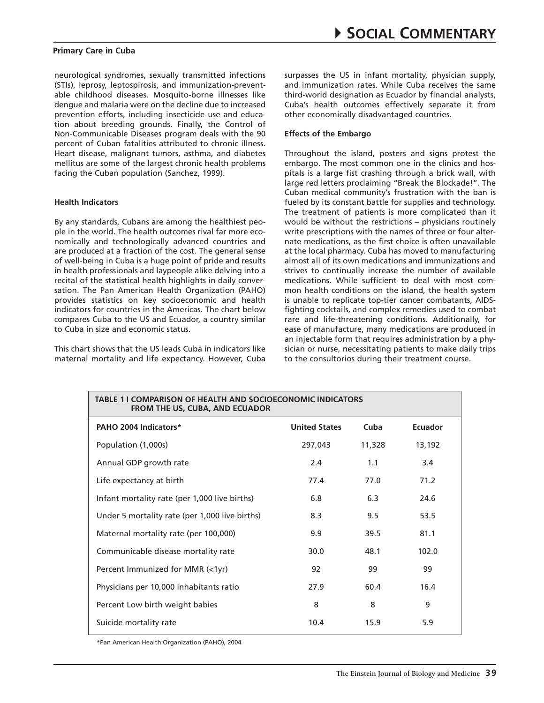neurological syndromes, sexually transmitted infections (STIs), leprosy, leptospirosis, and immunization-preventable childhood diseases. Mosquito-borne illnesses like dengue and malaria were on the decline due to increased prevention efforts, including insecticide use and education about breeding grounds. Finally, the Control of Non-Communicable Diseases program deals with the 90 percent of Cuban fatalities attributed to chronic illness. Heart disease, malignant tumors, asthma, and diabetes mellitus are some of the largest chronic health problems facing the Cuban population (Sanchez, 1999).

#### **Health Indicators**

By any standards, Cubans are among the healthiest people in the world. The health outcomes rival far more economically and technologically advanced countries and are produced at a fraction of the cost. The general sense of well-being in Cuba is a huge point of pride and results in health professionals and laypeople alike delving into a recital of the statistical health highlights in daily conversation. The Pan American Health Organization (PAHO) provides statistics on key socioeconomic and health indicators for countries in the Americas. The chart below compares Cuba to the US and Ecuador, a country similar to Cuba in size and economic status.

This chart shows that the US leads Cuba in indicators like maternal mortality and life expectancy. However, Cuba surpasses the US in infant mortality, physician supply, and immunization rates. While Cuba receives the same third-world designation as Ecuador by financial analysts, Cuba's health outcomes effectively separate it from other economically disadvantaged countries.

## **Effects of the Embargo**

Throughout the island, posters and signs protest the embargo. The most common one in the clinics and hospitals is a large fist crashing through a brick wall, with large red letters proclaiming "Break the Blockade!". The Cuban medical community's frustration with the ban is fueled by its constant battle for supplies and technology. The treatment of patients is more complicated than it would be without the restrictions – physicians routinely write prescriptions with the names of three or four alternate medications, as the first choice is often unavailable at the local pharmacy. Cuba has moved to manufacturing almost all of its own medications and immunizations and strives to continually increase the number of available medications. While sufficient to deal with most common health conditions on the island, the health system is unable to replicate top-tier cancer combatants, AIDSfighting cocktails, and complex remedies used to combat rare and life-threatening conditions. Additionally, for ease of manufacture, many medications are produced in an injectable form that requires administration by a physician or nurse, necessitating patients to make daily trips to the consultorios during their treatment course.

| <b>TABLE 11 COMPARISON OF HEALTH AND SOCIOECONOMIC INDICATORS</b><br><b>FROM THE US, CUBA, AND ECUADOR</b> |                      |        |         |
|------------------------------------------------------------------------------------------------------------|----------------------|--------|---------|
| PAHO 2004 Indicators*                                                                                      | <b>United States</b> | Cuba   | Ecuador |
| Population (1,000s)                                                                                        | 297,043              | 11,328 | 13,192  |
| Annual GDP growth rate                                                                                     | 2.4                  | 1.1    | 3.4     |
| Life expectancy at birth                                                                                   | 77.4                 | 77.0   | 71.2    |
| Infant mortality rate (per 1,000 live births)                                                              | 6.8                  | 6.3    | 24.6    |
| Under 5 mortality rate (per 1,000 live births)                                                             | 8.3                  | 9.5    | 53.5    |
| Maternal mortality rate (per 100,000)                                                                      | 9.9                  | 39.5   | 81.1    |
| Communicable disease mortality rate                                                                        | 30.0                 | 48.1   | 102.0   |
| Percent Immunized for MMR (<1yr)                                                                           | 92                   | 99     | 99      |
| Physicians per 10,000 inhabitants ratio                                                                    | 27.9                 | 60.4   | 16.4    |
| Percent Low birth weight babies                                                                            | 8                    | 8      | 9       |
| Suicide mortality rate                                                                                     | 10.4                 | 15.9   | 5.9     |

\*Pan American Health Organization (PAHO), 2004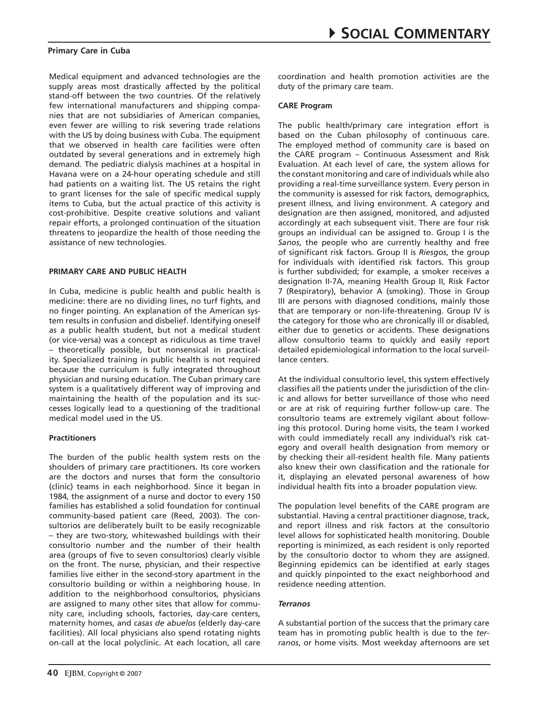Medical equipment and advanced technologies are the supply areas most drastically affected by the political stand-off between the two countries. Of the relatively few international manufacturers and shipping companies that are not subsidiaries of American companies, even fewer are willing to risk severing trade relations with the US by doing business with Cuba. The equipment that we observed in health care facilities were often outdated by several generations and in extremely high demand. The pediatric dialysis machines at a hospital in Havana were on a 24-hour operating schedule and still had patients on a waiting list. The US retains the right to grant licenses for the sale of specific medical supply items to Cuba, but the actual practice of this activity is cost-prohibitive. Despite creative solutions and valiant repair efforts, a prolonged continuation of the situation threatens to jeopardize the health of those needing the assistance of new technologies.

## **Primary Care and Public Health**

In Cuba, medicine is public health and public health is medicine: there are no dividing lines, no turf fights, and no finger pointing. An explanation of the American system results in confusion and disbelief. Identifying oneself as a public health student, but not a medical student (or vice-versa) was a concept as ridiculous as time travel – theoretically possible, but nonsensical in practicality. Specialized training in public health is not required because the curriculum is fully integrated throughout physician and nursing education. The Cuban primary care system is a qualitatively different way of improving and maintaining the health of the population and its successes logically lead to a questioning of the traditional medical model used in the US.

## **Practitioners**

The burden of the public health system rests on the shoulders of primary care practitioners. Its core workers are the doctors and nurses that form the consultorio (clinic) teams in each neighborhood. Since it began in 1984, the assignment of a nurse and doctor to every 150 families has established a solid foundation for continual community-based patient care (Reed, 2003). The consultorios are deliberately built to be easily recognizable – they are two-story, whitewashed buildings with their consultorio number and the number of their health area (groups of five to seven consultorios) clearly visible on the front. The nurse, physician, and their respective families live either in the second-story apartment in the consultorio building or within a neighboring house. In addition to the neighborhood consultorios, physicians are assigned to many other sites that allow for community care, including schools, factories, day-care centers, maternity homes, and *casas de abuelos* (elderly day-care facilities). All local physicians also spend rotating nights on-call at the local polyclinic. At each location, all care coordination and health promotion activities are the duty of the primary care team.

## **CARE Program**

The public health/primary care integration effort is based on the Cuban philosophy of continuous care. The employed method of community care is based on the CARE program – Continuous Assessment and Risk Evaluation. At each level of care, the system allows for the constant monitoring and care of individuals while also providing a real-time surveillance system. Every person in the community is assessed for risk factors, demographics, present illness, and living environment. A category and designation are then assigned, monitored, and adjusted accordingly at each subsequent visit. There are four risk groups an individual can be assigned to. Group I is the *Sanos*, the people who are currently healthy and free of significant risk factors. Group II is *Riesgos*, the group for individuals with identified risk factors. This group is further subdivided; for example, a smoker receives a designation II-7A, meaning Health Group II, Risk Factor 7 (Respiratory), behavior A (smoking). Those in Group III are persons with diagnosed conditions, mainly those that are temporary or non-life-threatening. Group IV is the category for those who are chronically ill or disabled, either due to genetics or accidents. These designations allow consultorio teams to quickly and easily report detailed epidemiological information to the local surveillance centers.

At the individual consultorio level, this system effectively classifies all the patients under the jurisdiction of the clinic and allows for better surveillance of those who need or are at risk of requiring further follow-up care. The consultorio teams are extremely vigilant about following this protocol. During home visits, the team I worked with could immediately recall any individual's risk category and overall health designation from memory or by checking their all-resident health file. Many patients also knew their own classification and the rationale for it, displaying an elevated personal awareness of how individual health fits into a broader population view.

The population level benefits of the CARE program are substantial. Having a central practitioner diagnose, track, and report illness and risk factors at the consultorio level allows for sophisticated health monitoring. Double reporting is minimized, as each resident is only reported by the consultorio doctor to whom they are assigned. Beginning epidemics can be identified at early stages and quickly pinpointed to the exact neighborhood and residence needing attention.

## *Terranos*

A substantial portion of the success that the primary care team has in promoting public health is due to the *terranos*, or home visits. Most weekday afternoons are set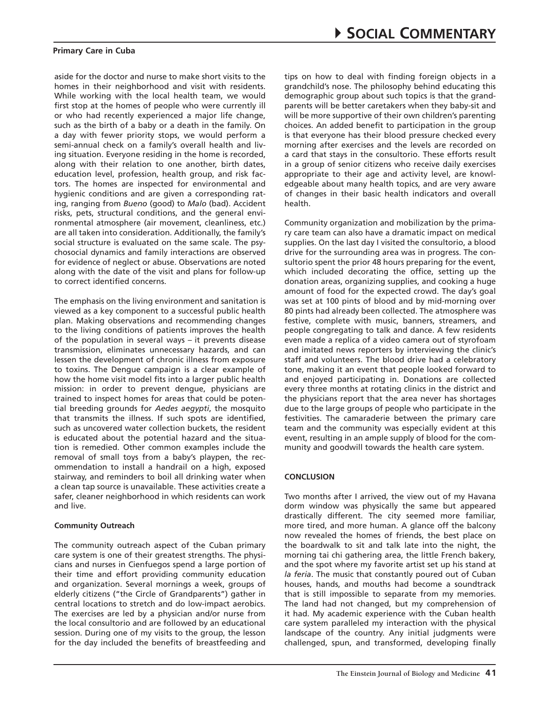aside for the doctor and nurse to make short visits to the homes in their neighborhood and visit with residents. While working with the local health team, we would first stop at the homes of people who were currently ill or who had recently experienced a major life change, such as the birth of a baby or a death in the family. On a day with fewer priority stops, we would perform a semi-annual check on a family's overall health and living situation. Everyone residing in the home is recorded, along with their relation to one another, birth dates, education level, profession, health group, and risk factors. The homes are inspected for environmental and hygienic conditions and are given a corresponding rating, ranging from *Bueno* (good) to *Malo* (bad). Accident risks, pets, structural conditions, and the general environmental atmosphere (air movement, cleanliness, etc.) are all taken into consideration. Additionally, the family's social structure is evaluated on the same scale. The psychosocial dynamics and family interactions are observed for evidence of neglect or abuse. Observations are noted along with the date of the visit and plans for follow-up to correct identified concerns.

The emphasis on the living environment and sanitation is viewed as a key component to a successful public health plan. Making observations and recommending changes to the living conditions of patients improves the health of the population in several ways – it prevents disease transmission, eliminates unnecessary hazards, and can lessen the development of chronic illness from exposure to toxins. The Dengue campaign is a clear example of how the home visit model fits into a larger public health mission: in order to prevent dengue, physicians are trained to inspect homes for areas that could be potential breeding grounds for *Aedes aegypti*, the mosquito that transmits the illness. If such spots are identified, such as uncovered water collection buckets, the resident is educated about the potential hazard and the situation is remedied. Other common examples include the removal of small toys from a baby's playpen, the recommendation to install a handrail on a high, exposed stairway, and reminders to boil all drinking water when a clean tap source is unavailable. These activities create a safer, cleaner neighborhood in which residents can work and live.

#### **Community Outreach**

The community outreach aspect of the Cuban primary care system is one of their greatest strengths. The physicians and nurses in Cienfuegos spend a large portion of their time and effort providing community education and organization. Several mornings a week, groups of elderly citizens ("the Circle of Grandparents") gather in central locations to stretch and do low-impact aerobics. The exercises are led by a physician and/or nurse from the local consultorio and are followed by an educational session. During one of my visits to the group, the lesson for the day included the benefits of breastfeeding and

tips on how to deal with finding foreign objects in a grandchild's nose. The philosophy behind educating this demographic group about such topics is that the grandparents will be better caretakers when they baby-sit and will be more supportive of their own children's parenting choices. An added benefit to participation in the group is that everyone has their blood pressure checked every morning after exercises and the levels are recorded on a card that stays in the consultorio. These efforts result in a group of senior citizens who receive daily exercises appropriate to their age and activity level, are knowledgeable about many health topics, and are very aware of changes in their basic health indicators and overall health.

Community organization and mobilization by the primary care team can also have a dramatic impact on medical supplies. On the last day I visited the consultorio, a blood drive for the surrounding area was in progress. The consultorio spent the prior 48 hours preparing for the event, which included decorating the office, setting up the donation areas, organizing supplies, and cooking a huge amount of food for the expected crowd. The day's goal was set at 100 pints of blood and by mid-morning over 80 pints had already been collected. The atmosphere was festive, complete with music, banners, streamers, and people congregating to talk and dance. A few residents even made a replica of a video camera out of styrofoam and imitated news reporters by interviewing the clinic's staff and volunteers. The blood drive had a celebratory tone, making it an event that people looked forward to and enjoyed participating in. Donations are collected every three months at rotating clinics in the district and the physicians report that the area never has shortages due to the large groups of people who participate in the festivities. The camaraderie between the primary care team and the community was especially evident at this event, resulting in an ample supply of blood for the community and goodwill towards the health care system.

## **Conclusion**

Two months after I arrived, the view out of my Havana dorm window was physically the same but appeared drastically different. The city seemed more familiar, more tired, and more human. A glance off the balcony now revealed the homes of friends, the best place on the boardwalk to sit and talk late into the night, the morning tai chi gathering area, the little French bakery, and the spot where my favorite artist set up his stand at *la feria*. The music that constantly poured out of Cuban houses, hands, and mouths had become a soundtrack that is still impossible to separate from my memories. The land had not changed, but my comprehension of it had. My academic experience with the Cuban health care system paralleled my interaction with the physical landscape of the country. Any initial judgments were challenged, spun, and transformed, developing finally